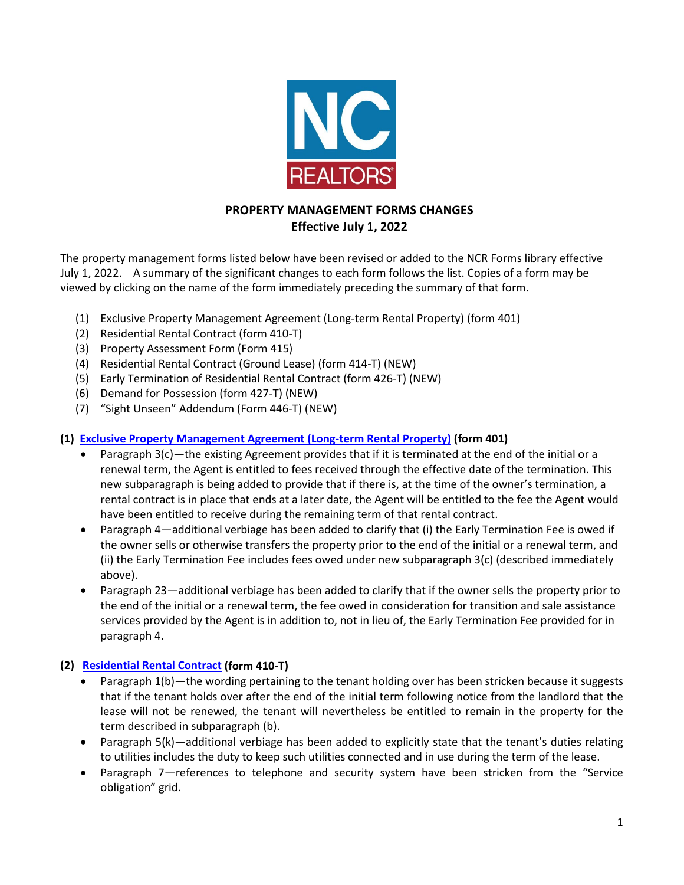

# **PROPERTY MANAGEMENT FORMS CHANGES Effective July 1, 2022**

The property management forms listed below have been revised or added to the NCR Forms library effective July 1, 2022. A summary of the significant changes to each form follows the list. Copies of a form may be viewed by clicking on the name of the form immediately preceding the summary of that form.

- (1) Exclusive Property Management Agreement (Long-term Rental Property) (form 401)
- (2) Residential Rental Contract (form 410-T)
- (3) Property Assessment Form (Form 415)
- (4) Residential Rental Contract (Ground Lease) (form 414-T) (NEW)
- (5) Early Termination of Residential Rental Contract (form 426-T) (NEW)
- (6) Demand for Possession (form 427-T) (NEW)
- (7) "Sight Unseen" Addendum (Form 446-T) (NEW)

# **(1) [Exclusive Property Management Agreement \(Long-term Rental Property\)](https://www.ncrealtors.org/wp-content/uploads/markedup0722-401.pdf) (form 401)**

- Paragraph 3(c)—the existing Agreement provides that if it is terminated at the end of the initial or a renewal term, the Agent is entitled to fees received through the effective date of the termination. This new subparagraph is being added to provide that if there is, at the time of the owner's termination, a rental contract is in place that ends at a later date, the Agent will be entitled to the fee the Agent would have been entitled to receive during the remaining term of that rental contract.
- Paragraph 4—additional verbiage has been added to clarify that (i) the Early Termination Fee is owed if the owner sells or otherwise transfers the property prior to the end of the initial or a renewal term, and (ii) the Early Termination Fee includes fees owed under new subparagraph 3(c) (described immediately above).
- Paragraph 23—additional verbiage has been added to clarify that if the owner sells the property prior to the end of the initial or a renewal term, the fee owed in consideration for transition and sale assistance services provided by the Agent is in addition to, not in lieu of, the Early Termination Fee provided for in paragraph 4.

### **(2) [Residential Rental Contract](https://www.ncrealtors.org/wp-content/uploads/markedup0722-410-T.pdf) (form 410-T)**

- Paragraph 1(b)—the wording pertaining to the tenant holding over has been stricken because it suggests that if the tenant holds over after the end of the initial term following notice from the landlord that the lease will not be renewed, the tenant will nevertheless be entitled to remain in the property for the term described in subparagraph (b).
- Paragraph 5(k)—additional verbiage has been added to explicitly state that the tenant's duties relating to utilities includes the duty to keep such utilities connected and in use during the term of the lease.
- Paragraph 7—references to telephone and security system have been stricken from the "Service obligation" grid.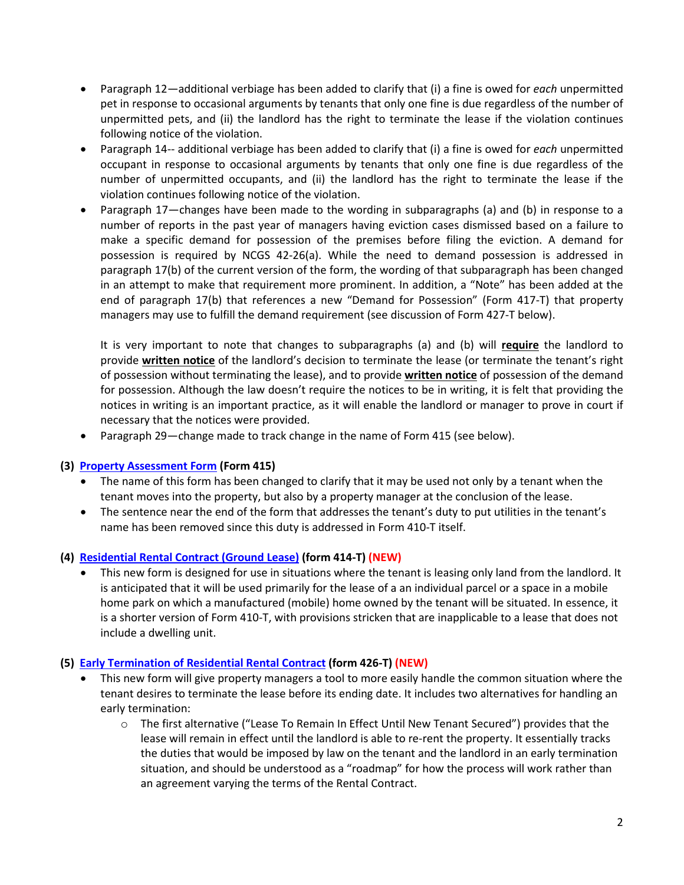- Paragraph 12—additional verbiage has been added to clarify that (i) a fine is owed for *each* unpermitted pet in response to occasional arguments by tenants that only one fine is due regardless of the number of unpermitted pets, and (ii) the landlord has the right to terminate the lease if the violation continues following notice of the violation.
- Paragraph 14-- additional verbiage has been added to clarify that (i) a fine is owed for *each* unpermitted occupant in response to occasional arguments by tenants that only one fine is due regardless of the number of unpermitted occupants, and (ii) the landlord has the right to terminate the lease if the violation continues following notice of the violation.
- Paragraph 17—changes have been made to the wording in subparagraphs (a) and (b) in response to a number of reports in the past year of managers having eviction cases dismissed based on a failure to make a specific demand for possession of the premises before filing the eviction. A demand for possession is required by NCGS 42-26(a). While the need to demand possession is addressed in paragraph 17(b) of the current version of the form, the wording of that subparagraph has been changed in an attempt to make that requirement more prominent. In addition, a "Note" has been added at the end of paragraph 17(b) that references a new "Demand for Possession" (Form 417-T) that property managers may use to fulfill the demand requirement (see discussion of Form 427-T below).

It is very important to note that changes to subparagraphs (a) and (b) will **require** the landlord to provide **written notice** of the landlord's decision to terminate the lease (or terminate the tenant's right of possession without terminating the lease), and to provide **written notice** of possession of the demand for possession. Although the law doesn't require the notices to be in writing, it is felt that providing the notices in writing is an important practice, as it will enable the landlord or manager to prove in court if necessary that the notices were provided.

• Paragraph 29—change made to track change in the name of Form 415 (see below).

#### **(3) [Property Assessment Form](https://www.ncrealtors.org/wp-content/uploads/markedup0722-415.pdf) (Form 415)**

- The name of this form has been changed to clarify that it may be used not only by a tenant when the tenant moves into the property, but also by a property manager at the conclusion of the lease.
- The sentence near the end of the form that addresses the tenant's duty to put utilities in the tenant's name has been removed since this duty is addressed in Form 410-T itself.

#### **(4) [Residential Rental Contract \(Ground Lease\)](https://www.ncrealtors.org/wp-content/uploads/markedup0722-414-T.pdf) (form 414-T) (NEW)**

• This new form is designed for use in situations where the tenant is leasing only land from the landlord. It is anticipated that it will be used primarily for the lease of a an individual parcel or a space in a mobile home park on which a manufactured (mobile) home owned by the tenant will be situated. In essence, it is a shorter version of Form 410-T, with provisions stricken that are inapplicable to a lease that does not include a dwelling unit.

#### **(5) [Early Termination of Residential Rental Contract](https://www.ncrealtors.org/wp-content/uploads/markedup0722-426-T.pdf) (form 426-T) (NEW)**

- This new form will give property managers a tool to more easily handle the common situation where the tenant desires to terminate the lease before its ending date. It includes two alternatives for handling an early termination:
	- o The first alternative ("Lease To Remain In Effect Until New Tenant Secured") provides that the lease will remain in effect until the landlord is able to re-rent the property. It essentially tracks the duties that would be imposed by law on the tenant and the landlord in an early termination situation, and should be understood as a "roadmap" for how the process will work rather than an agreement varying the terms of the Rental Contract.